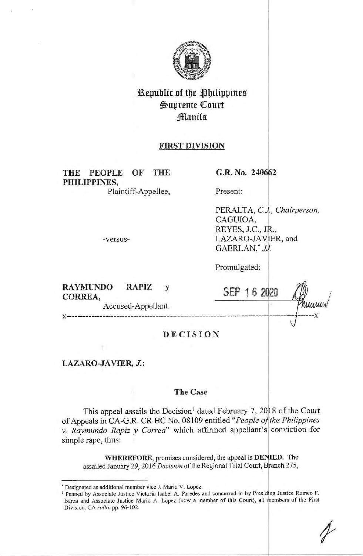

# Republic of the Philippines \$upreme QCourt **Manila**

## **FIRST DIVISION**

**THE PEOPLE OF THE PHILIPPINES,**  Plaintiff-Appellee,

-versus-

**G.R. No. 240662** 

Present:

PERAL TA, *CJ., Chairperson,*  CAGUIOA, REYES, J.C., JR., LAZARO-JAVIER, and GAERLAN,\* *JJ.* 

Promulgated:

| <b>RAYMUNDO</b><br>CORREA, | <b>RAPIZ</b>       |                 | 6 |      |
|----------------------------|--------------------|-----------------|---|------|
|                            | Accused-Appellant. |                 |   | numm |
|                            |                    |                 |   |      |
|                            |                    | <b>DECISION</b> |   |      |
| LAZARO-JAVIER, J.:         |                    |                 |   |      |

## **The Case**

This appeal assails the Decision<sup>1</sup> dated February 7, 2018 of the Court of Appeals in CA-G.R. CR HC No. 08109 entitled *"People ojfthe Philippines v. Raymundo Rapiz y Correa*" which affirmed appellant's conviction for simple rape, thus:

**WHEREFORE,** premises considered, the appeal is **DE JED.** The assailed January 29, 2016 *Decision* of the Regional Trial Court, Branch 275,

<sup>•</sup> Designated as additional member vice **J.** Mario V. Lopez.

<sup>&</sup>lt;sup>1</sup> Penned by Associate Justice Victoria Isabel A. Paredes and concurred in by Presiding Justice Romeo F. Barza and Associate Justice Mario A. Lopez (now a member of this Court), all members of the First Division, CA *rollo*, pp. 96-102.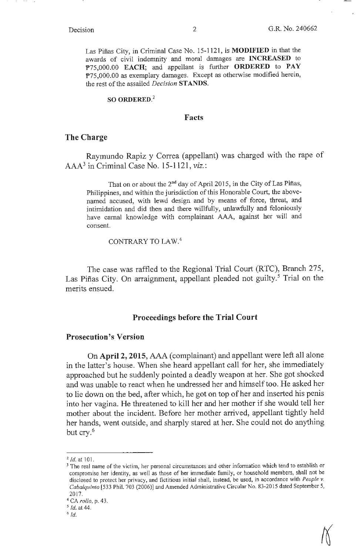Las Pifias City, in Criminal Case No. 15-1121, is **MODIFIED** in that the awards of civil indemnity and moral damages are **INCREASED** to 1>75,000.00 **EACH;** and appellant is further **ORDERED** to **PAY**  P75,000.00 as exemplary damages. Except as otherwise modified herein, the rest of the assailed *Decision* **ST ANDS.** 

## **SO ORDERED.2**

## **Facts**

## **The Charge**

Raymundo Rapiz y Correa (appellant) was charged with the rape of AAA3 in Criminal Case No. 15-1121, *viz.:* 

That on or about the 2nd day of April 2015, in the City of Las Pifias, Philippines, and within the jurisdiction of this Honorable Court, the abovenamed accused, with lewd design and by means of force, threat, and intimidation and did then and there willfully, unlawfully and feloniously have carnal knowledge with complainant AAA, against her will and consent.

CONTRARY TO LAW.<sup>4</sup>

The case was raffled to the Regional Trial Court (RTC), Branch 275, Las Piñas City. On arraignment, appellant pleaded not guilty.<sup>5</sup> Trial on the merits ensued.

### **Proceedings before the Trial Court**

## **Prosecution's Version**

On **April 2, 2015,** AAA (complainant) and appellant were left all alone in the latter's house. When she heard appellant call for her, she immediately approached but he suddenly pointed a deadly weapon at her. She got shocked and was unable to react when he undressed her and himself too. He asked her to lie down on the bed, after which, he got on top of her and inserted his penis into her vagina. He threatened to kill her and her mother if she would tell her mother about the incident. Before her mother arrived, appellant tightly held her hands, went outside, and sharply stared at her. She could not do anything but cry.<sup>6</sup>

 $^{2}$  *Id.* at 101.

<sup>&</sup>lt;sup>3</sup> The real name of the victim, her personal circumstances and other information which tend to establish or compromise her identity, as well as those of her immediate family, or household members, shall not be disclosed to protect her privacy, and fictitious initial shall, instead, be used, in accordance with *People v. Cabalquinto* [533 Phil. 703 (2006)) and Amended Administrative Circular No. 83-20 15 dated September 5, 2017.

<sup>4</sup> CA *rollo,* p. 43.

*<sup>5</sup> Id.* at 44.

<sup>6</sup>*Id.*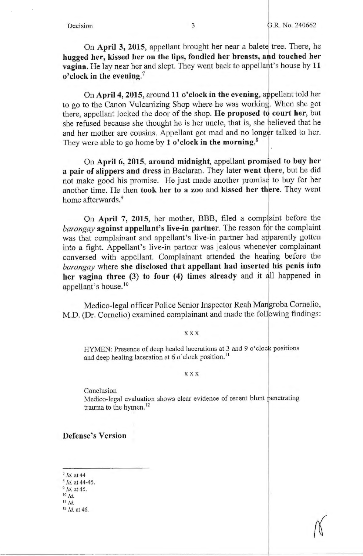On **April 3, 2015,** appellant brought her near a balete tree. There, he **hugged her, kissed her on the lips, fondled her breasts, and touched her vagina.** He lay near her and slept. They went back to appellant's house by **11 o'clock in the evening.<sup>7</sup>**

On April 4, 2015, around 11 o'clock in the evening, appellant told her to go to the Canon Vulcanizing Shop where he was working. When she got there, appellant locked the door of the shop. He proposed to court her, but she refused because she thought he is her uncle, that is, she believed that he and her mother are cousins. Appellant got mad and no longer talked to her. They were able to go home by **1 o'clock in the morning.<sup>8</sup>**

On **April 6, 2015, around midnight,** appellant **promised to buy her a pair of slippers and dress** in Baclaran. They later **went there,** but he did not make good his promise. He just made another promiss to buy for her another time. He then **took her to a zoo** and **kissed her there.** They went home afterwards.<sup>9</sup>

On April 7, 2015, her mother, BBB, filed a complaint before the *barangay* **against appellant's live-in partner.** The reason for the complaint was that complainant and appellant's live-in partner had apparently gotten into a fight. Appellant's live-in partner was jealous whenever complainant conversed with appellant. Complainant attended the heariing before the *barangay* where **she disclosed that appellant had inserted his penis into**  her vagina three (3) to four (4) times already and it all happened in appellant's house.<sup>10</sup>

Medico-legal officer Police Senior Inspector Reah Mangroba Cornelio, M.D. (Dr. Cornelio) examined complainant and made the following findings:

**XXX** 

HYMEN: Presence of deep healed lacerations at 3 and 9 o'clock positions and deep healing laceration at 6  $\sigma$ 'clock position.<sup>11</sup>

**XXX** 

Conclusion

Medico-legal evaluation shows clear evidence of recent blunt penetrating trauma to the hymen.<sup>12</sup>

**Defense's Version** 

- <sup>7</sup>*Id.* at 44 8 Id. at 44-45. <sup>9</sup> *Id.* at 45.
- <sup>10</sup>*Id.*
- <sup>11</sup>*Id.*

12 *Id.* at 46.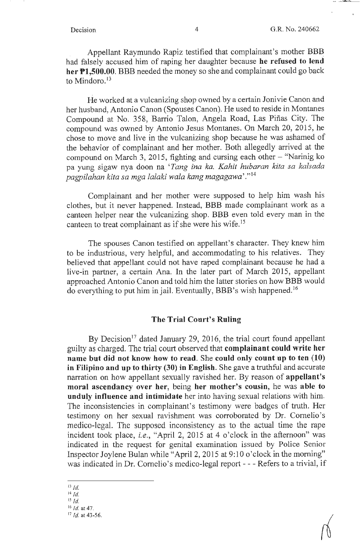حسكت

Appellant Raymundo Rapiz testified that complainant's mother BBB had falsely accused him of raping her daughter because **he refused to lend her Pl,500.00.** BBB needed the money so she and complainant could go back to Mindoro.<sup>13</sup>

He worked at a vulcanizing shop owned by a certain Jonivie Canon and her husband, Antonio Canon (Spouses Canon). He used to reside in Montanes Compound at No. 358, Barrio Talon, Angela Road, Las Piñas City. The compound was owned by Antonio Jesus Montanes. On March 20, 2015, he chose to move and live in the vulcanizing shop because he was ashamed of the behavior of complainant and her mother. Both allegedly arrived at the compound on March 3, 2015, fighting and cursing each other  $-$  "Narinig ko pa yung sigaw nya doon na *'Tang ina ka. Kahit hubaran kita sa kalsada pagpilahan kita sa mga lalaki wala kang magagawa'* ." <sup>14</sup>

Complainant and her mother were supposed to help him wash his clothes, but it never happened. Instead, BBB made complainant work as a canteen helper near the vulcanizing shop. BBB even told every man in the canteen to treat complainant as if she were his wife.<sup>15</sup>

The spouses Canon testified on appellant's character. They knew him to be industrious, very helpful, and accommodating to his relatives. They believed that appellant could not have raped complainant because he had a live-in partner, a certain Ana. In the later part of March 2015, appellant approached Antonio Canon and told him the latter stories on how BBB would do everything to put him in jail. Eventually, BBB's wish happened. <sup>16</sup>

## **The Trial Court's Ruling**

By Decision<sup>17</sup> dated January 29, 2016, the trial court found appellant guilty as charged. The trial court observed that **complainant could write her name but did not know how to read.** She **could only count up to ten (10) in Filipino and up to thirty (30) in English.** She gave a truthful and accurate narration on how appellant sexually ravished her. By reason of **appellant's moral ascendancy over her,** being **her mother's cousin,** he was **able to unduly influence and intimidate** her into having sexual relations with him. The inconsistencies in complainant's testimony were badges of truth. Her testimony on her sexual ravishment was corroborated by Dr. Comelio's medico-legal. The supposed inconsistency as to the actual time the rape incident took place, *i.e.,* "April 2, 2015 at 4 o'clock in the afternoon" was indicated in the request for genital examination issued by Police Senior Inspector Joylene Bulan while "April 2, 2015 at 9:10 o'clock in the morning" was indicated in Dr. Cornelio's medico-legal report - - - Refers to a trivial, if

<sup>13</sup>*Id.* 

<sup>14</sup>*Id.* 

<sup>15</sup>*Id.* 

<sup>16</sup>*Id.* at 47. <sup>17</sup>*Id.* at 43-56.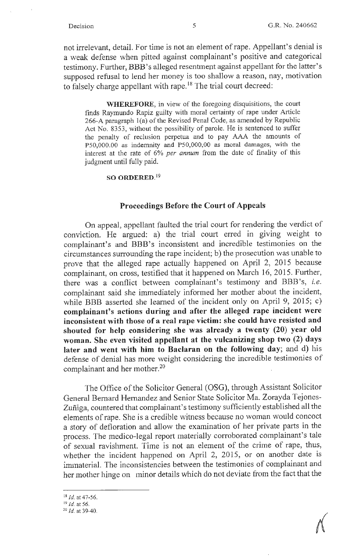not irrelevant, detail. For time is not an element of rape. Appellant's denial is a weak defense when pitted against complainant's positive and categorical testimony. Further, BBB 's alleged resentment against appellant for the latter's supposed refusal to lend her money is too shallow a reason, nay, motivation to falsely charge appellant with rape.<sup>18</sup> The trial court decreed:

**WHEREFORE,** in view of the foregoing disquisitions, the court finds Raymundo Rapiz guilty with moral certainty of rape under Article 266-A paragraph l(a) of the Revised Penal Code, as amended by Republic Act No. 8353, without the possibility of parole. He is sentenced to suffer the penalty of reclusion perpetua and to pay AAA the amounts of PS0,000.00 as indemnity and PS0,000,00 as moral damages, with the interest at the rate of 6% *per annum* from the date of finality of this judgment until fully paid.

### **SO ORDERED.** <sup>19</sup>

### **Proceedings Before the Court of Appeals**

On appeal, appellant faulted the trial court for rendering the verdict of conviction. He argued: a) the trial court erred in giving weight to complainant's and BBB's inconsistent and incredible testimonies on the circumstances surrounding the rape incident; b) the prosecution was unable to prove that the alleged rape actually happened on April 2, 2015 because complainant, on cross, testified that it happened on March 16, 2015. Further, there was a conflict between complainant's testimony and BBB 's, *i.e.*  complainant said she immediately informed her mother about the incident, while BBB asserted she learned of the incident only on April 9, 2015; c) complainant's actions during and after the alleged rape incident were inconsistent with those of a real rape victim: she could have resisted and **shouted for help considering she was already a twenty (20) year old woman. She even visited appellant at the vulcanizing shop two (2) days later and went with him to Baclaran on the following day;** and d) his defense of denial has more weight considering the incredible testimonies of complainant and her mother.<sup>20</sup>

The Office of the Solicitor General (OSG), through Assistant Solicitor General Bernard Hernandez and Senior State Solicitor Ma. Zorayda Tejones-Zuñiga, countered that complainant's testimony sufficiently established all the elements of rape. She is a credible witness because no woman would concoct a story of defloration and allow the examination of her private parts in the process. The medico-legal report materially corroborated complainant's tale of sexual ravishment. Time is not an element of the crime of rape, thus, whether the incident happened on April 2, 2015, or on another date is immaterial. The inconsistencies between the testimonies of complainant and her mother hinge on minor details which do not deviate from the fact that the

 $\mathcal{N}$ 

 $^{18}$  *Id.* at 47-56.<br><sup>19</sup> *Id.* at 56.

<sup>&</sup>lt;sup>20</sup> *Id.* at 39-40.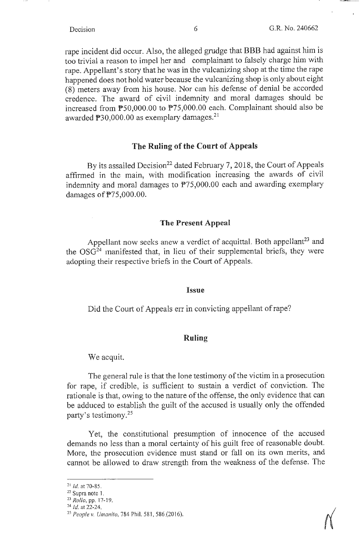rape incident did occur. Also, the alleged grudge that BBB had against him is too trivial a reason to impel her and complainant to falsely charge him with rape. Appellant's story that he was in the vulcanizing shop at the time the rape happened does not hold water because the vulcanizing shop is only about eight (8) meters away from his house. Nor can his defense of denial be accorded credence. The award of civil indemnity and moral damages should be increased from PS0,000.00 to P75,000.00 each. Complainant should also be awarded  $\mathbb{P}30,000.00$  as exemplary damages.<sup>21</sup>

## **The Ruling of the Court of Appeals**

By its assailed Decision<sup>22</sup> dated February 7, 2018, the Court of Appeals affirmed in the main, with modification increasing the awards of civil indemnity and moral damages to P75,000.00 each and awarding exemplary damages of P75,000.00.

## **The Present Appeal**

Appellant now seeks anew a verdict of acquittal. Both appellant<sup>23</sup> and the OSG24 manifested that, in lieu of their supplemental briefs, they were adopting their respective briefs in the Court of Appeals.

### **Issue**

Did the Court of Appeals err in convicting appellant of rape?

## **Ruling**

We acquit.

The general rule is that the lone testimony of the victim in a prosecution for rape, if credible, is sufficient to sustain a verdict of conviction. The rationale is that, owing to the nature of the offense, the only evidence that can be adduced to establish the guilt of the accused is usually only the offended party's testimony. 25

Yet, the constitutional presumption of innocence of the accused demands no less than a moral certainty of his guilt free of reasonable doubt. More, the prosecution evidence must stand or fall on its own merits, and cannot be allowed to draw strength from the weakness of the defense. The

 $^{21}$  Id. at 70-85.

 $22$  Supra note 1.

<sup>&</sup>lt;sup>23</sup> *Rollo*, pp. 17-19.<br><sup>24</sup> *Id.* at 22-24.

<sup>&</sup>lt;sup>25</sup> People v. Umanito, 784 Phil. 581, 586 (2016).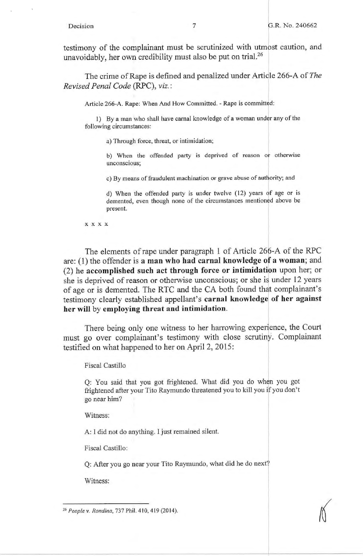testimony of the complainant must be scrutinized with utmost caution, and unavoidably, her own credibility must also be put on trial.<sup>26</sup>

The crime of Rape is defined and penalized under Artidle 266-A of *The Revised Penal Code* (RPC), *viz.:* 

Article 266-A. Rape: When And How Committed. - Rape is committed:

1) By a man who shall have carnal knowledge of a woman under any of the following circumstances:

a) Through force, threat, or intimidation;

b) When the offended party is deprived of reason or otherwise unconscious;

c) By means of fraudulent machination or grave abuse of authority; and

d) When the offended party is under twelve (12) years of age or is demented, even though none of the circumstances mentioned above be present.

**X X X X** 

The elements of rape under paragraph 1 of Article 266-A of the RPC are: (1) the offender is **a man who had carnal knowledge of a woman;** and (2) he **accomplished such act through force or intimidatibn** upon her; or she is deprived of reason or otherwise unconscious; or she is under 12 years of age or is demented. The RTC and the CA both found that complainant's testimony clearly established appellant's **carnal knowledge of her against her will by employing threat and intimidation.** 

There being only one witness to her harrowing experience, the Court must go over complainant's testimony with close scrutiny. Complainant testified on what happened to her on April 2, 2015:

Fiscal Castillo

<sup>1</sup>Q: You said that you got frightened. What did you do when you got frightened after your Tito Raymundo threatened you to kill you if you don't go near **him?** 

Witness:

A: I did not do anything. I just remained silent.

Fiscal Castillo:

Q: After you go near your Tito Raymundo, what did he do next?

Witness:

<sup>&</sup>lt;sup>26</sup> People v. Rondina, 737 Phil. 410, 419 (2014).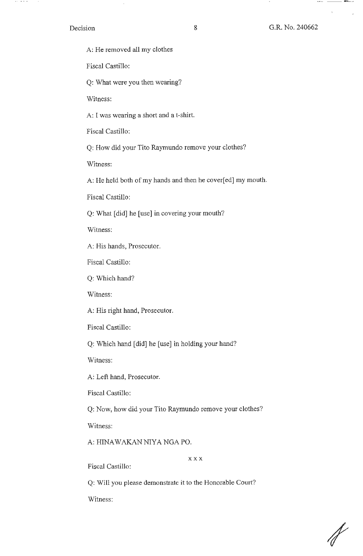### Decision

 $\alpha$  and  $\alpha$  and  $\alpha$ 

 $\mathbf{r}$ 

 $\Lambda$ 

A: He removed all my clothes

Fiscal Castillo:

Q: What were you then wearing?

Witness:

A: I was wearing a short and a t-shirt.

Fiscal Castillo:

Q: How did your Tito Raymundo remove your clothes?

Witness:

A: He held both of my hands and then he cover[ed] my mouth.

Fiscal Castillo:

Q: What [did] he [use] in covering your mouth?

Witness:

A: His hands, Prosecutor.

Fiscal Castillo:

Q: Which hand?

Witness:

A: His right hand, Prosecutor.

Fiscal Castillo:

Q: Which hand [did] he [use] in holding your hand?

Witness:

A: Left hand, Prosecutor.

Fiscal Castillo:

Q: Now, how did your Tito Raymundo remove your clothes?

Witness:

A: HINAWAKAN NIYA NGA PO.

**XXX** 

Fiscal Castillo:

Q: Will you please demonstrate it to the Honorable Court?

Witness:

 $\mathcal{N}$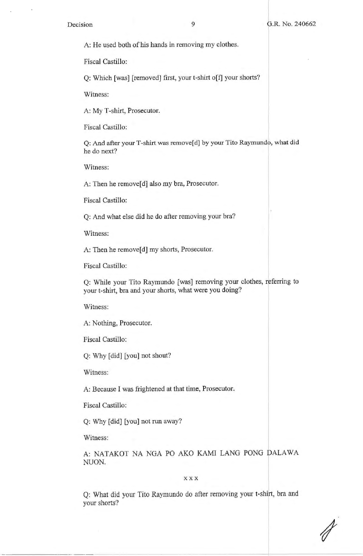A: He used both of his hands in removing my clothes.

Fiscal Castillo:

Q: Which [was] [removed] first, your t-shirt o[f] your shorts?

Witness:

A: My T-shirt, Prosecutor.

Fiscal Castillo:

Q: And after your T-shirt was remove [d] by your Tito Raymundo, what did he do next?

Witness:

A: Then he remove[d] also my bra, Prosecutor.

Fiscal Castillo:

Q: And what else did he do after removing your bra?

Witness:

A: Then he remove<sup>[d]</sup> my shorts, Prosecutor.

Fiscal Castillo:

Q: While your Tito Raymundo [was] removing your clothes, referring to your t-shirt, bra and your shorts, what were you doing?

Witness:

A: Nothing, Prosecutor.

Fiscal Castillo:

Q: Why [did] [you] not shout?

Witness:

A: Because I was frightened at that time, Prosecutor.

Fiscal Castillo:

Q: Why [did] [you] not run away?

Witness:

A: NATAKOT NA NGA PO AKO KAMI LANG PONG DALAWA NUON.

**X XX** 

Q: What did your Tito Raymundo do after removing your t-shirt, bra and your shorts?

*I*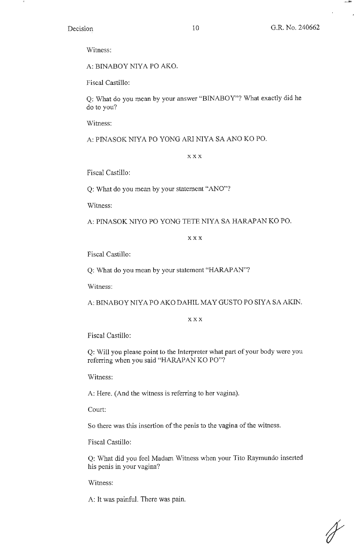حفيد

Witness:

A: BINABOY NIYA PO AKO.

Fiscal Castillo:

Q: What do you mean by your answer "BINABOY"? What exactly did he do to you?

Witness:

A: PINASOK NIYA PO YONG ARI NIYA SA ANO KO PO.

**XXX** 

Fiscal Castillo:

Q: What do you mean by your statement "ANO"?

Witness:

A: PINASOK NIYO PO YONG TETE NIYA SA HARAPAN KO PO.

**XXX** 

Fiscal Castillo:

Q: What do you mean by your statement "HARAPAN"?

Witness:

A: BINABOY NIYA PO AKO DAHIL MAY GUSTO PO SIYA SA AKIN.

**XXX** 

Fiscal Castillo:

Q: Will you please point to the Interpreter what part of your body were you referring when you said "HARAPAN KO PO"?

Witness:

A: Here. (And the witness is referring to her vagina).

Court:

So there was this insertion of the penis to the vagina of the witness.

Fiscal Castillo:

Q: What did you feel Madam Witness when your Tito Raymundo inserted his penis in your vagina?

Witness:

A: It was painful. There was pain.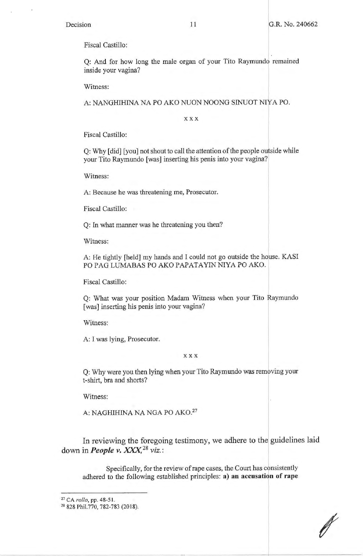Fiscal Castillo:

Q: And for how long the male organ of your Tito Raymundo remained inside your vagina?

Witness:

A: NANGHIHINA NA PO AKO NUON NOONG SINUOT NIY A PO.

**XXX** 

Fiscal Castillo:

Q: Why [did] [you] not shout to call the attention of the people outside while your Tito Raymundo [was] inserting his penis into your vagina?

Witness:

A: Because he was threatening me, Prosecutor.

Fiscal Castillo:

Q: In what manner was he threatening you then?

Witness:

A: He tightly [held] my hands and I could not go outside the house. KASI PO PAG LUMABAS PO AKO PAPATAYIN NIYA PO AKO.

Fiscal Castillo:

Q: What was your position Madam Witness when your Tito Raymundo [was] inserting his penis into your vagina?

Witness:

A: I was lying, Prosecutor.

**XXX** 

Q: Why were you then lying when your Tito Raymundo was removing your t-shirt, bra and shorts?

Witness:

A: NAGHIHINA NA NGA PO AK0.<sup>27</sup>

In reviewing the foregoing testimony, we adhere to the guidelines laid down in *People v. XXX,* <sup>28</sup>*viz.:* 

Specifically, for the review of rape cases, the Court has consistently adhered to the following established principles: a) an accusation of rape

*I* 

<sup>27</sup> CA *ratio,* pp. 48-5 I.

<sup>28 828</sup> Phil.770, 782-783 (2018).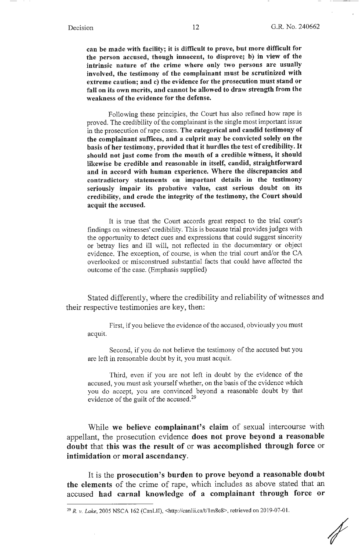**can be made with facility; it is difficult to prove, but more difficult for the person accused, though innocent, to disprove; b) in view of the intrinsic nature of the crime where only two persons are usually involved, the testimony of the complainant must be scrutinized with extreme caution; and c) the evidence for the prosecution must stand or fall on its own merits, and cannot be allowed to draw strength from the weakness of the evidence for the defense.** 

Following these principles, the Court has also refined how rape is proved. The credibility of the complainant is the single most important issue in the prosecution of rape cases. **The categorical and candid testimony of the complainant suffices, and a culprit may be convicted solely on the basis of her testimony, provided that it hurdles the test of credibility.** It **should not just come from the mouth of a credible witness, it should likewise be credible and reasonable in itself, candid, straightforward and in accord with human experience. Where the discrepancies and contradictory statements on important details in the testimony seriously impair its probative value, cast serious doubt on its credibility, and erode the integrity of the testimony, the Court should acquit the accused.** 

It is true that the Court accords great respect to the trial court's findings on witnesses' credibility. This is because trial provides judges with the opportunity to detect cues and expressions that could suggest sincerity or betray lies and ill will, not reflected in the documentary or object evidence. The exception, of course, is when the trial court and/or the CA overlooked or misconstrued substantial facts that could have affected the outcome of the case. (Emphasis supplied)

Stated differently, where the credibility and reliability of witnesses and their respective testimonies are key, then:

First, if you believe the evidence of the accused, obviously you must acquit.

Second, if you do not believe the testimony of the accused but you are left in reasonable doubt by it, you must acquit.

Third, even if you are not left in doubt by the evidence of the accused, you must ask yourself whether, on the basis of the evidence which you do accept, you are convinced beyond a reasonable doubt by that evidence of the guilt of the accused.<sup>29</sup>

While **we believe complainant's claim** of sexual intercourse with appellant, the prosecution evidence **does not prove beyond a reasonable doubt** that **this was the result of** or **was accomplished through force** or **intimidation** or **moral ascendancy.** 

It is the **prosecution's burden to prove beyond a reasonable doubt the elements** of the crime of rape, which includes as above stated that an accused **had carnal knowledge of a complainant through force or** 

<sup>&</sup>lt;sup>29</sup> R. v. Lake, 2005 NSCA 162 (CanLII), <http://canlii.ca/t/1m8c8>, retrieved on 2019-07-01.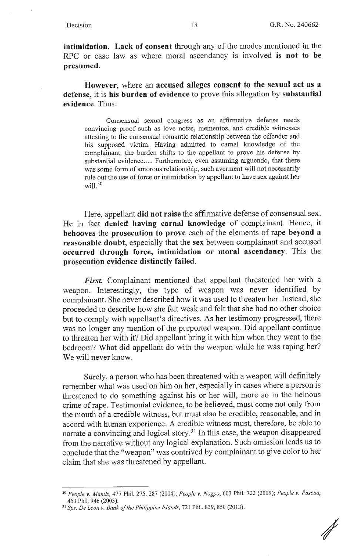**intimidation. Lack of consent** through any of the modes mentioned in the RPC or case law as where moral ascendancy is involved **is not to be presumed.** 

**However,** where an **accused alleges consent to the sexual act as a defense,** it is **his burden of evidence** to prove this allegation by **substantial evidence.** Thus:

Consensual sexual congress as an affirmative defense needs convincing proof such as love notes, mementos, and credible witnesses attesting to the consensual romantic relationship between the offender and his supposed victim. Having admitted to carnal knowledge of the complainant, the burden shifts to the appellant to prove his defense by substantial evidence.... Furthermore, even assuming arguendo, that there was some form of amorous relationship, such averment will not hecessarily rule out the use of force or intimidation by appellant to have sex against her will. $30$ 

Here, appellant **did not raise** the affirmative defense of consensual sex. He in fact **denied having carnal knowledge** of complainant. Hence, it **behooves** the **prosecution to prove** each of the elements of rape **beyond** a **reasonable doubt,** especially that the **sex** between complainant and accused **occurred through force, intimidation or moral ascendancy.** This the **prosecution evidence distinctly failed.** 

First. Complainant mentioned that appellant threatened her with a weapon. Interestingly, the type of weapon was never identified by complainant. She never described how it was used to threaten her. Instead, she proceeded to describe how she felt weak and felt that she had no other choice proceeded to describe how she fere weak and ference had no only energy was no longer any mention of the purported weapon. Did appellant continue to threaten her with it? Did appellant bring it with him when they went to the bedroom? What did appellant do with the weapon while he was raping her? We will never know.

Surely, a person who has been threatened with a weapon will definitely remember what was used on him on her, especially in cases where a person is threatened to do something against his or her will, more so in the heinous crime of rape. Testimonial evidence, to be believed, must come not only from the mouth of a credible witness, but must also be credible, reasonable, and in accord with human experience. A credible witness must, therefore, be able to narrate a convincing and logical story.<sup>31</sup> In this case, the weapon disappeared from the narrative without any logical explanation. Such omission leads us to conclude that the "weapon" was contrived by complainant to give color to her claim that she was threatened by appellant.

*I* 

<sup>30</sup>*People v. Mantis,* 477 Phil. 275, 287 (2004); *People v. Nogpo,* 603 Phil. 722 (2009); *People v. Pascua,*  453 Phil. 946 (2003).

<sup>31</sup>*Sps. De Leon v. Bank of the Philippine Islands,* 721 Phil. 839, 850 (2013).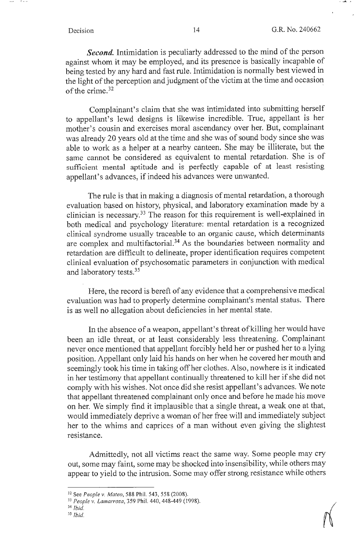- 6 - *- -*

 $= -\frac{1}{2} \int_{0}^{2\pi} \frac{dx}{y^2} dy = -\frac{1}{2} \int_{0}^{2\pi} \frac{dx}{y^2} dy = -\frac{1}{2} \int_{0}^{2\pi} \frac{dx}{y^2} dy = -\frac{1}{2} \int_{0}^{2\pi} \frac{dx}{y^2} dy = -\frac{1}{2} \int_{0}^{2\pi} \frac{dx}{y^2} dy = -\frac{1}{2} \int_{0}^{2\pi} \frac{dx}{y^2} dy = -\frac{1}{2} \int_{0}^{2\pi} \frac{dx}{y^2} dy = -\frac{1}{2} \int_{0}^{2\$ 

*Second.* Intimidation is peculiarly addressed to the mind of the person against whom it may be employed, and its presence is basically incapable of being tested by any hard and fast rule. Intimidation is normally best viewed in the light of the perception and judgment of the victim at the time and occasion of the crime. $32$ 

Complainant's claim that she was intimidated into submitting herself to appellant's lewd designs is likewise incredible. True, appellant is her mother's cousin and exercises moral ascendancy over her. But, complainant was already 20 years old at the time and she was of sound body since she was able to work as a helper at a nearby canteen. She may be illiterate, but the same cannot be considered as equivalent to mental retardation. She is of sufficient mental aptitude and is perfectly capable of at least resisting appellant's advances, if indeed his advances were unwanted.

The rule is that in making a diagnosis of mental retardation, a thorough evaluation based on history, physical, and laboratory examination made by a clinician is necessary. 33 The reason for this requirement is well-explained in both medical and psychology literature: mental retardation is a recognized clinical syndrome usually traceable to an organic cause, which determinants are complex and multifactorial.34 As the boundaries between normality and retardation are difficult to delineate, proper identification requires competent clinical evaluation of psychosomatic parameters in conjunction with medical and laboratory tests. 35

Here, the record is bereft of any evidence that a comprehensive medical evaluation was had to properly determine complainant's mental status. There is as well no allegation about deficiencies in her mental state.

In the absence of a weapon, appellant's threat of killing her would have been an idle threat, or at least considerably less threatening. Complainant never once mentioned that appellant forcibly held her or pushed her to a lying position. Appellant only laid his hands on her when he covered her mouth and seemingly took his time in taking off her clothes. Also, nowhere is it indicated in her testimony that appellant continually threatened to kill her if she did not comply with his wishes. Not once did she resist appellant's advances. We note that appellant threatened complainant only once and before he made his move on her. We simply find it implausible that a single threat, a weak one at that, would immediately deprive a woman of her free will and immediately subject her to the whims and caprices of a man without even giving the slightest resistance.

Admittedly, not all victims react the same way. Some people may cry out, some may faint, some may be shocked into insensibility, while others may appear to yield to the intrusion. Some may offer strong resistance while others

<sup>32</sup> See *People v. Mateo,* 588 Phil. 543, 558 (2008). 33 *People v. l amarroza,* 359 Phil. 440, 448-449 (I 998).

<sup>34</sup>*Ibid.* 

<sup>35</sup>*!bid.*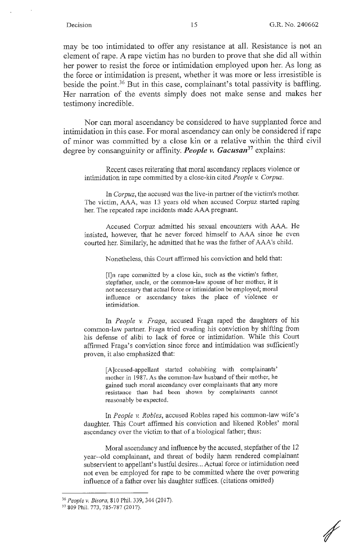may be too intimidated to offer any resistance at all. Resistance is not an element of rape. A rape victim has no burden to prove that she did all within her power to resist the force or intimidation employed upon her. As long as the force or intimidation is present, whether it was more or less irresistible is beside the point.<sup>36</sup> But in this case, complainant's total passivity is baffling. Her narration of the events simply does not make sense and makes her testimony incredible.

l. Nor can moral ascendancy be considered to have supplanted force and intimidation in this case. For moral ascendancy can only be considered if rape of minor was committed by a close kin or a relative withih the third civil degree by consanguinity or affinity. *People v. Gacusan***<sup>37</sup>**explains:

Recent cases reiterating that moral ascendancy replaces violence or intimidation in rape committed by a close-kin cited *People* v. *Corpuz.* 

In *Corpuz*, the accused was the live-in partner of the victim's mother. The victim, AAA, was 13 years old when accused Corpuz started raping her. The repeated rape incidents made AAA pregnant.

Accused Corpuz admitted his sexual encounters with AAA. He insisted, however, that he never forced himself to AAA since he even courted her. Similarly, he admitted that he was the father of AAA's child.

Nonetheless, this Court affirmed his conviction and held that:

[I]n rape committed by a close kin, such as the victim's father, stepfather, uncle, or the common-law spouse of her mother, it is not necessary that actual force or intimidation be employed; moral influence or ascendancy takes the place of violence or intimidation.

In *People v. Fraga,* accused Fraga raped the daughters of his common-law partner. Fraga tried evading his conviction by shifting from his defense of alibi to lack of force or intimidation. While this Court affirmed Fraga's conviction since force and intimidation was sufficiently proven, it also emphasized that:

> [A]ccused-appellant started cohabiting with complainants' mother in 1987. As the common-law husband of their mother, he gained such moral ascendancy over complainants that any more resistance than had been shown by complainants cannot reasonably be expected.

In *People v. Robles*, accused Robles raped his common-law wife's daughter. This Court affirmed his conviction and likened Robles' moral ascendancy over the victim to that of a biological father; thus:

Moral ascendancy and influence by the accused, stepfather of the 12 year--old complainant, and threat of bodily harm rendered complainant subservient to appellant's lustful desires ... Actual force or intimidation need not even be employed for rape to be committed where the over powering influence of a father over his daughter suffices. ( citations omitted)

<sup>&</sup>lt;sup>36</sup> *People v. Bisora*, 810 Phil. 339, 344 (2017).<br><sup>37</sup> 809 Phil. 773, 785-787 (2017).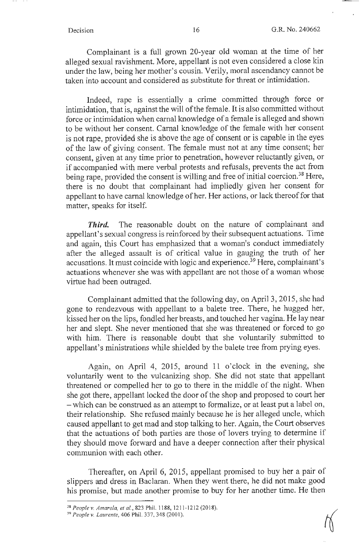Complainant is a full grown 20-year old woman at the time of her alleged sexual ravishment. More, appellant is not even considered a close kin under the law, being her mother's cousin. Verily, moral ascendancy cannot be taken into account and considered as substitute for threat or intimidation.

Indeed, rape is essentially a crime committed through force or intimidation, that is, against the will of the female. It is also committed without force or intimidation when carnal knowledge of a female is alleged and shown to be without her consent. Carnal knowledge of the female with her consent is not rape, provided she is above the age of consent or is capable in the eyes of the law of giving consent. The female must not at any time consent; her consent, given at any time prior to penetration, however reluctantly given, or if accompanied with mere verbal protests and refusals, prevents the act from being rape, provided the consent is willing and free of initial coercion.<sup>38</sup> Here, there is no doubt that complainant had impliedly given her consent for appellant to have carnal knowledge of her. Her actions, or lack thereof for that matter, speaks for itself.

*Third.* The reasonable doubt on the nature of complainant and appellant's sexual congress is reinforced by their subsequent actuations. Time and again, this Court has emphasized that a woman's conduct immediately after the alleged assault is of critical value in gauging the truth of her accusations. It must coincide with logic and experience. 39 Here, complainant's actuations whenever she was with appellant are not those of a woman whose virtue had been outraged.

Complainant admitted that the following day, on April 3, 2015, she had gone to rendezvous with appellant to a balete tree. There, he hugged her, kissed her on the lips, fondled her breasts, and touched her vagina. He lay near her and slept. She never mentioned that she was threatened or forced to go with him. There is reasonable doubt that she voluntarily submitted to appellant's ministrations while shielded by the balete tree from prying eyes.

Again, on April 4, 2015, around 11 o'clock in the evening, she voluntarily went to the vulcanizing shop. She did not state that appellant threatened or compelled her to go to there in the middle of the night. When she got there, appellant locked the door of the shop and proposed to court her - which can be construed as an attempt to formalize, or at least put a label on, their relationship. She refused mainly because he is her alleged uncle, which caused appellant to get mad and stop talking to her. Again, the Court observes that the actuations of both parties are those of lovers trying to determine if they should move forward and have a deeper connection after their physical communion with each other.

Thereafter, on April 6, 2015, appellant promised to buy her a pair of slippers and dress in Baclaran. When they went there, he did·not make good his promise, but made another promise to buy for her another time. He then

<sup>&</sup>lt;sup>38</sup> People v. Amarela, et al., 823 Phil. 1188, 1211-1212 (2018).<br><sup>39</sup> People v. Laurente, 406 Phil. 337, 348 (2001).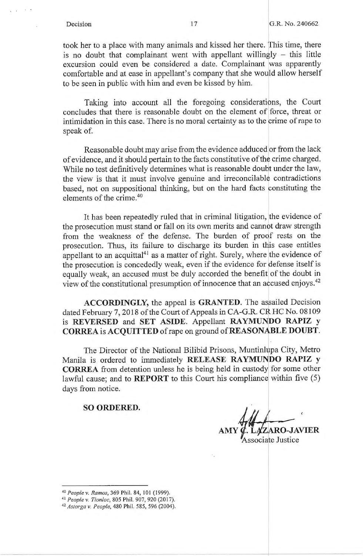took her to a place with many animals and kissed her there. This time, there is no doubt that complainant went with appellant willingly  $-$  this little excursion could even be considered a date. Complainant was apparently comfortable and at ease in appellant's company that she would allow herself to be seen in public with him and even be kissed by him.

Taking into account all the foregoing considerations, the Court concludes that there is reasonable doubt on the element of force, threat or intimidation in this case. There is no moral certainty as to the crime of rape to speak of.

Reasonable doubt may arise from the evidence adduced or from the lack of evidence, and it should pertain to the facts constitutive of the crime charged. While no test definitively determines what is reasonable doubt under the law, the view is that it must involve genuine and irreconcilable contradictions based, not on suppositional thinking, but on the hard facts constituting the elements of the crime.<sup>40</sup>

It has been repeatedly ruled that in criminal litigation, the evidence of the prosecution must stand or fall on its own merits and cannot draw strength from the weakness of the defense. The burden of proof rests on the prosecution. Thus, its failure to discharge its burden in this case entitles appellant to an acquittal $41$  as a matter of right. Surely, where the evidence of the prosecution is concededly weak, even if the evidence for defense itself is equally weak, an accused must be duly accorded the benefit of the doubt in view of the constitutional presumption of innocence that an accused enjoys.<sup>42</sup>

**ACCORDINGLY,** the appeal is **GRANTED.** The assailed Decision dated February 7, 2018 of the Court of Appeals in CA-G.R. CR HC No. 08109 is **REVERSED** and **SET ASIDE**. Appellant **RAYMUNDO** RAPIZ y **CORREA is ACQUITTED** of rape on ground of **REASON.ABLE DOUBT.** 

The Director of the National Bilibid Prisons, Muntinlupa City, Metro Manila is ordered to immediately **RELEASE RAYMUNDO RAPIZ y CORREA** from detention unless he is being held in custody for some other lawful cause; and to **REPORT** to this Court his compliance within five (5) days from notice.

**SO ORDERED.** 

**RO-JAVIER** 

ssociate Justice

<sup>40</sup> *People v. Ramos,* 369 Phil. 84, IOI (1999).

<sup>41</sup>*People v. Tionloc,* 805 Phil. 907,920 (2017). 42 *Astorga v. People,* 480 Phil. 585, 596 (2004).